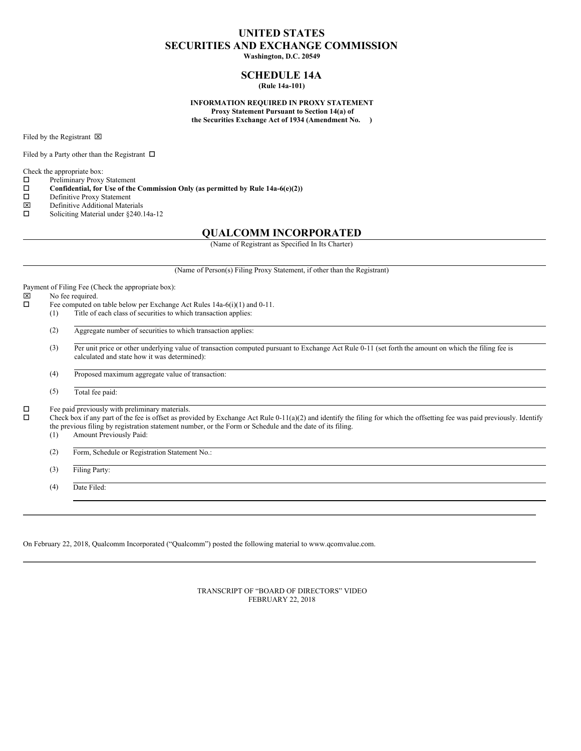# **UNITED STATES SECURITIES AND EXCHANGE COMMISSION**

**Washington, D.C. 20549**

## **SCHEDULE 14A (Rule 14a-101)**

**INFORMATION REQUIRED IN PROXY STATEMENT Proxy Statement Pursuant to Section 14(a) of the Securities Exchange Act of 1934 (Amendment No. )**

Filed by the Registrant  $\boxtimes$ 

Filed by a Party other than the Registrant  $\Box$ 

Check the appropriate box:

- $\square$  Preliminary Proxy Statement<br> $\square$  Confidential, for Use of the
- **Confidential, for** Use of the Commission Only (as permitted by Rule 14a-6(e)(2))  $\Box$  Definitive Proxy Statement
- $\square$  Definitive Proxy Statement<br> $\square$  Definitive Additional Mater
- $\boxtimes$  Definitive Additional Materials<br>  $\square$  Soliciting Material under 8240.
- Soliciting Material under §240.14a-12

## **QUALCOMM INCORPORATED**

(Name of Registrant as Specified In Its Charter)

(Name of Person(s) Filing Proxy Statement, if other than the Registrant) Payment of Filing Fee (Check the appropriate box):<br> $[\boxtimes]$  No fee required. No fee required.  $\square$  Fee computed on table below per Exchange Act Rules 14a-6(i)(1) and 0-11. (1) Title of each class of securities to which transaction applies: (2) Aggregate number of securities to which transaction applies: (3) Per unit price or other underlying value of transaction computed pursuant to Exchange Act Rule 0-11 (set forth the amount on which the filing fee is calculated and state how it was determined): (4) Proposed maximum aggregate value of transaction: (5) Total fee paid:  $\square$  Fee paid previously with preliminary materials.  $\Box$  Check box if any part of the fee is offset as provided by Exchange Act Rule 0-11(a)(2) and identify the filing for which the offsetting fee was paid previously. Identify the previous filing by registration statement number, or the Form or Schedule and the date of its filing. (1) Amount Previously Paid: (2) Form, Schedule or Registration Statement No.: (3) Filing Party: (4) Date Filed:

On February 22, 2018, Qualcomm Incorporated ("Qualcomm") posted the following material to www.qcomvalue.com.

TRANSCRIPT OF "BOARD OF DIRECTORS" VIDEO FEBRUARY 22, 2018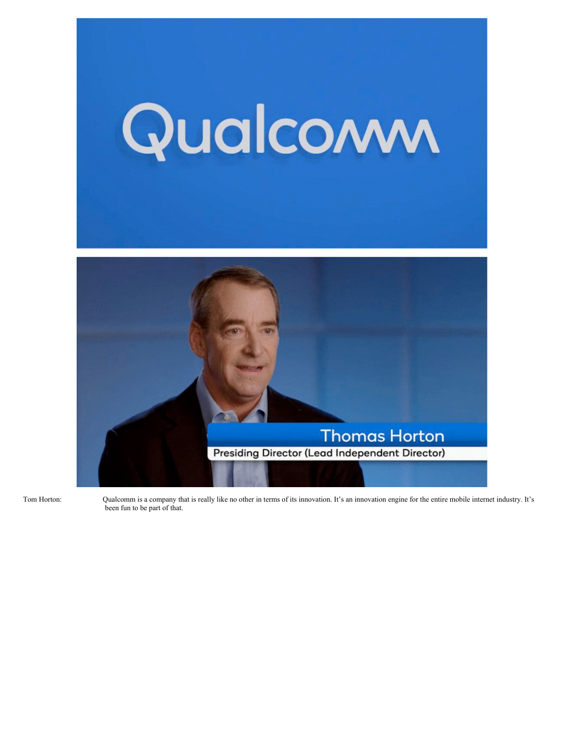

Tom Hortor

n: Qualcomm is a company that is really like no other in terms of its innovation. It's an innovation engine for the entire mobile internet industry. It's been fun to be part of that.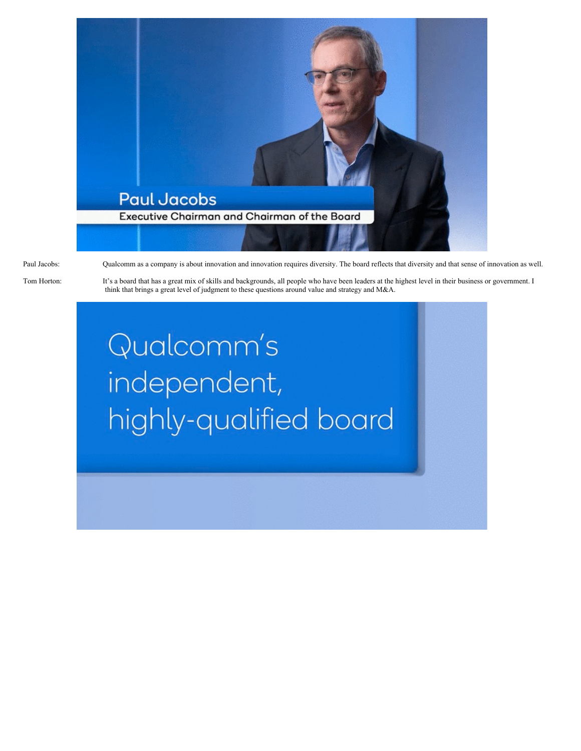

Paul Jacobs: Qualcomm as a company is about innovation and innovation requires diversity. The board reflects that diversity and that sense of innovation as well.

Tom Horton: It's a board that has a great mix of skills and backgrounds, all people who have been leaders at the highest level in their business or government. I think that brings a great level of judgment to these questions around value and strategy and M&A.

> Qualcomm's independent, highly-qualified board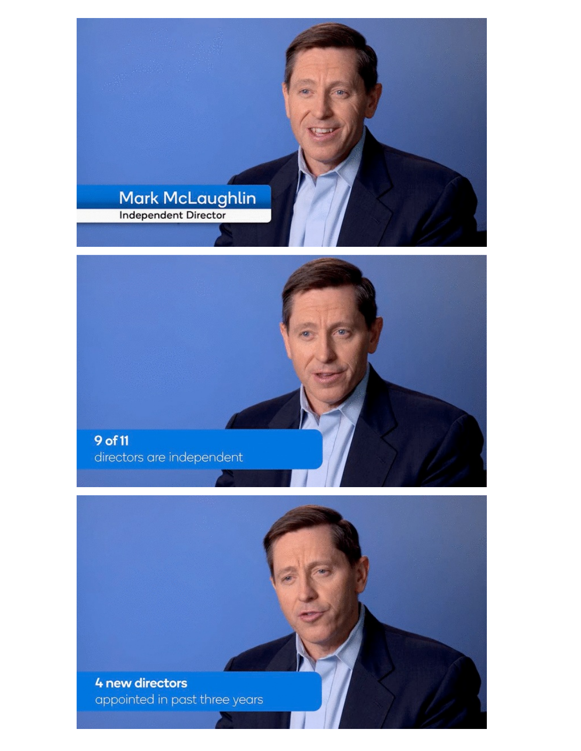



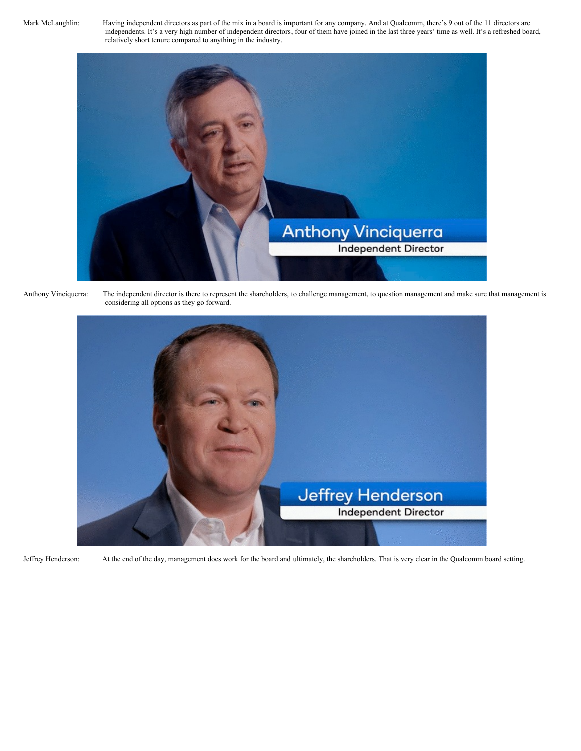Mark McLaughlin: Having independent directors as part of the mix in a board is important for any company. And at Qualcomm, there's 9 out of the 11 directors are independents. It's a very high number of independent directors, four of them have joined in the last three years' time as well. It's a refreshed board, relatively short tenure compared to anything in the industry.





Anthony Vinciquerra: The independent director is there to represent the shareholders, to challenge management, to question management and make sure that management is considering all options as they go forward.



Jeffrey Henderson: At the end of the day, management does work for the board and ultimately, the shareholders. That is very clear in the Qualcomm board setting.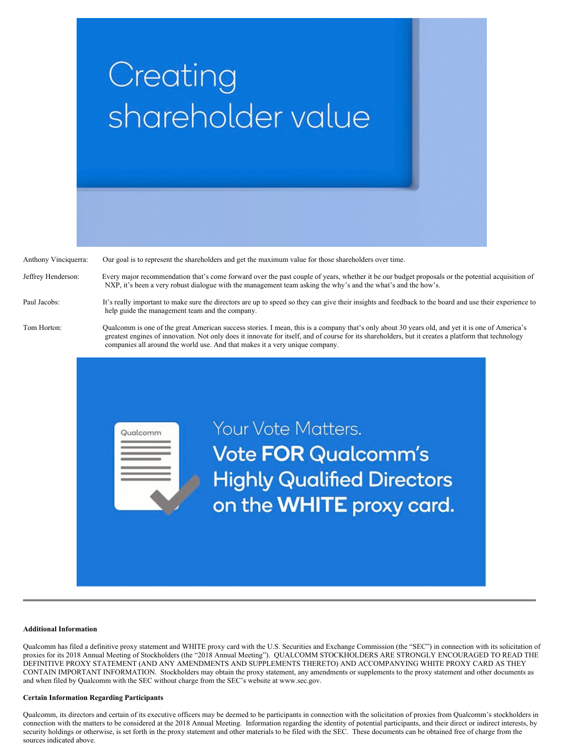

Anthony Vinciquerra: Our goal is to represent the shareholders and get the maximum value for those shareholders over time.

Qualcomm

Jeffrey Henderson: Every major recommendation that's come forward over the past couple of years, whether it be our budget proposals or the potential acquisition of NXP, it's been a very robust dialogue with the management team asking the why's and the what's and the how's.

Paul Jacobs: It's really important to make sure the directors are up to speed so they can give their insights and feedback to the board and use their experience to help guide the management team and the company.

Tom Horton: Qualcomm is one of the great American success stories. I mean, this is a company that's only about 30 years old, and yet it is one of America's greatest engines of innovation. Not only does it innovate for itself, and of course for its shareholders, but it creates a platform that technology companies all around the world use. And that makes it a very unique company.

> Your Vote Matters. **Vote FOR Qualcomm's Highly Qualified Directors** on the WHITE proxy card.

## **Additional Information**

Qualcomm has filed a definitive proxy statement and WHITE proxy card with the U.S. Securities and Exchange Commission (the "SEC") in connection with its solicitation of proxies for its 2018 Annual Meeting of Stockholders (the "2018 Annual Meeting"). QUALCOMM STOCKHOLDERS ARE STRONGLY ENCOURAGED TO READ THE DEFINITIVE PROXY STATEMENT (AND ANY AMENDMENTS AND SUPPLEMENTS THERETO) AND ACCOMPANYING WHITE PROXY CARD AS THEY CONTAIN IMPORTANT INFORMATION. Stockholders may obtain the proxy statement, any amendments or supplements to the proxy statement and other documents as and when filed by Qualcomm with the SEC without charge from the SEC's website at www.sec.gov.

## **Certain Information Regarding Participants**

Qualcomm, its directors and certain of its executive officers may be deemed to be participants in connection with the solicitation of proxies from Qualcomm's stockholders in connection with the matters to be considered at the 2018 Annual Meeting. Information regarding the identity of potential participants, and their direct or indirect interests, by security holdings or otherwise, is set forth in the proxy statement and other materials to be filed with the SEC. These documents can be obtained free of charge from the sources indicated above.